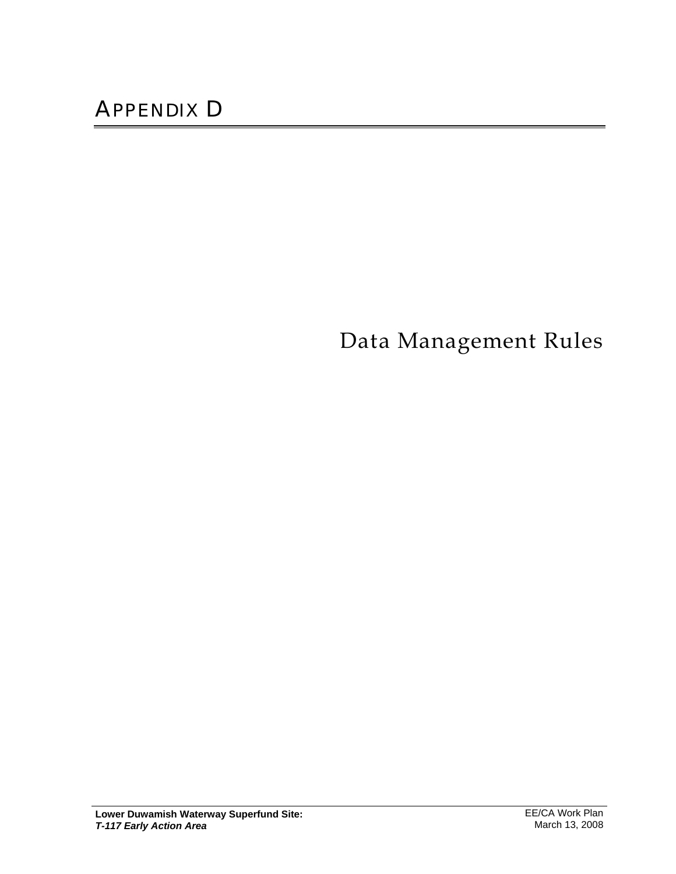Data Management Rules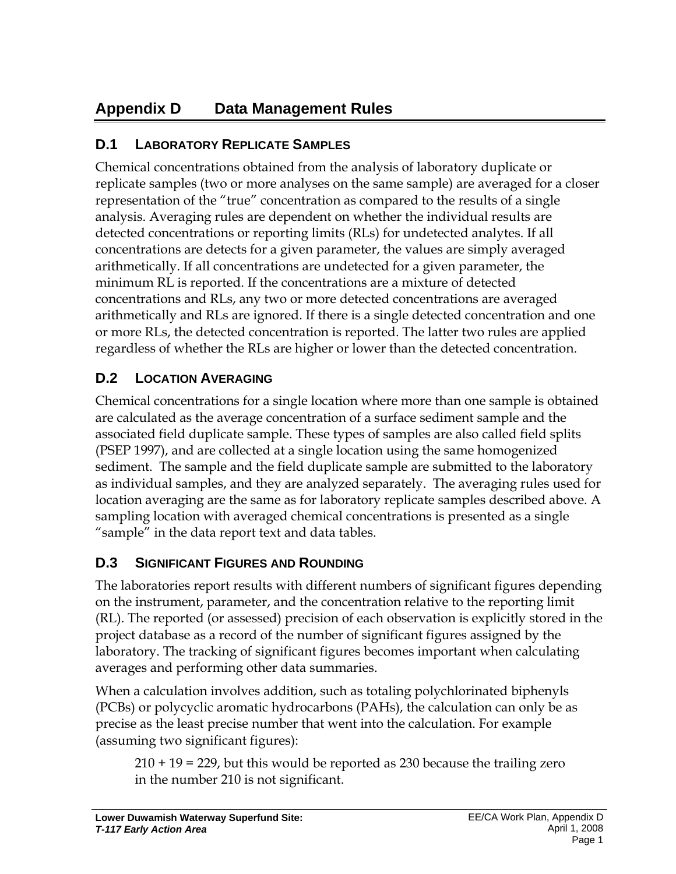# **Appendix D Data Management Rules**

### **D.1 LABORATORY REPLICATE SAMPLES**

Chemical concentrations obtained from the analysis of laboratory duplicate or replicate samples (two or more analyses on the same sample) are averaged for a closer representation of the "true" concentration as compared to the results of a single analysis. Averaging rules are dependent on whether the individual results are detected concentrations or reporting limits (RLs) for undetected analytes. If all concentrations are detects for a given parameter, the values are simply averaged arithmetically. If all concentrations are undetected for a given parameter, the minimum RL is reported. If the concentrations are a mixture of detected concentrations and RLs, any two or more detected concentrations are averaged arithmetically and RLs are ignored. If there is a single detected concentration and one or more RLs, the detected concentration is reported. The latter two rules are applied regardless of whether the RLs are higher or lower than the detected concentration.

## **D.2 LOCATION AVERAGING**

Chemical concentrations for a single location where more than one sample is obtained are calculated as the average concentration of a surface sediment sample and the associated field duplicate sample. These types of samples are also called field splits (PSEP 1997), and are collected at a single location using the same homogenized sediment. The sample and the field duplicate sample are submitted to the laboratory as individual samples, and they are analyzed separately. The averaging rules used for location averaging are the same as for laboratory replicate samples described above. A sampling location with averaged chemical concentrations is presented as a single "sample" in the data report text and data tables.

# **D.3 SIGNIFICANT FIGURES AND ROUNDING**

The laboratories report results with different numbers of significant figures depending on the instrument, parameter, and the concentration relative to the reporting limit (RL). The reported (or assessed) precision of each observation is explicitly stored in the project database as a record of the number of significant figures assigned by the laboratory. The tracking of significant figures becomes important when calculating averages and performing other data summaries.

When a calculation involves addition, such as totaling polychlorinated biphenyls (PCBs) or polycyclic aromatic hydrocarbons (PAHs), the calculation can only be as precise as the least precise number that went into the calculation. For example (assuming two significant figures):

210 + 19 = 229, but this would be reported as 230 because the trailing zero in the number 210 is not significant.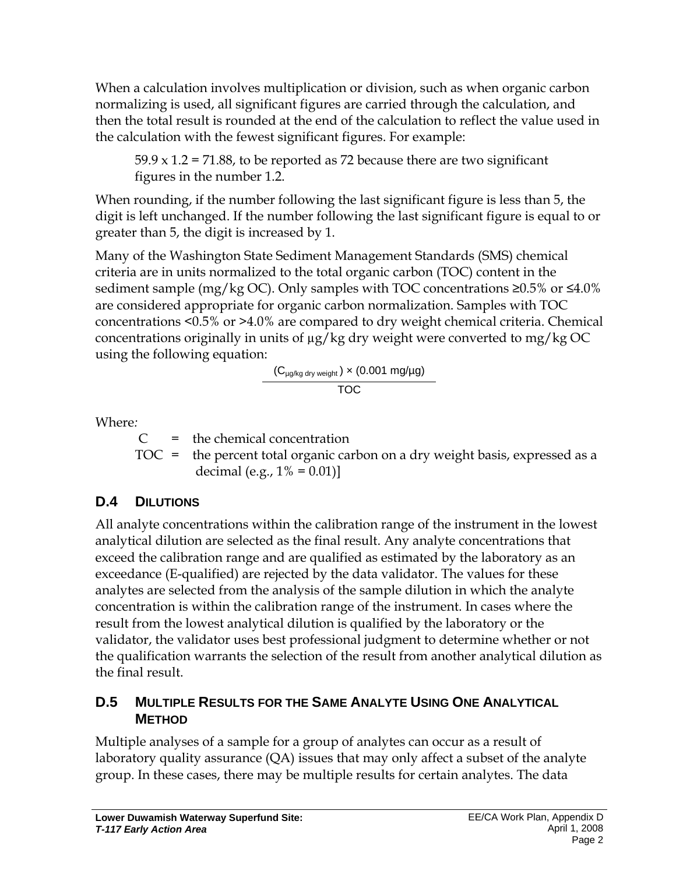When a calculation involves multiplication or division, such as when organic carbon normalizing is used, all significant figures are carried through the calculation, and then the total result is rounded at the end of the calculation to reflect the value used in the calculation with the fewest significant figures. For example:

 $59.9 \times 1.2 = 71.88$ , to be reported as 72 because there are two significant figures in the number 1.2.

When rounding, if the number following the last significant figure is less than 5, the digit is left unchanged. If the number following the last significant figure is equal to or greater than 5, the digit is increased by 1.

Many of the Washington State Sediment Management Standards (SMS) chemical criteria are in units normalized to the total organic carbon (TOC) content in the sediment sample (mg/kg OC). Only samples with TOC concentrations  $\geq 0.5\%$  or  $\leq 4.0\%$ are considered appropriate for organic carbon normalization. Samples with TOC concentrations <0.5% or >4.0% are compared to dry weight chemical criteria. Chemical concentrations originally in units of µg/kg dry weight were converted to mg/kg OC using the following equation:

$$
\frac{\left(C_{\mu g/kg\; dry\; weight}\right)\times\left(0.001\; mg/\mu g\right)}{TOC}
$$

Where*:* 

 $C =$  the chemical concentration

 $TOC$  = the percent total organic carbon on a dry weight basis, expressed as a decimal (e.g.,  $1\% = 0.01$ )]

# **D.4 DILUTIONS**

All analyte concentrations within the calibration range of the instrument in the lowest analytical dilution are selected as the final result. Any analyte concentrations that exceed the calibration range and are qualified as estimated by the laboratory as an exceedance (E-qualified) are rejected by the data validator. The values for these analytes are selected from the analysis of the sample dilution in which the analyte concentration is within the calibration range of the instrument. In cases where the result from the lowest analytical dilution is qualified by the laboratory or the validator, the validator uses best professional judgment to determine whether or not the qualification warrants the selection of the result from another analytical dilution as the final result.

### **D.5 MULTIPLE RESULTS FOR THE SAME ANALYTE USING ONE ANALYTICAL METHOD**

Multiple analyses of a sample for a group of analytes can occur as a result of laboratory quality assurance (QA) issues that may only affect a subset of the analyte group. In these cases, there may be multiple results for certain analytes. The data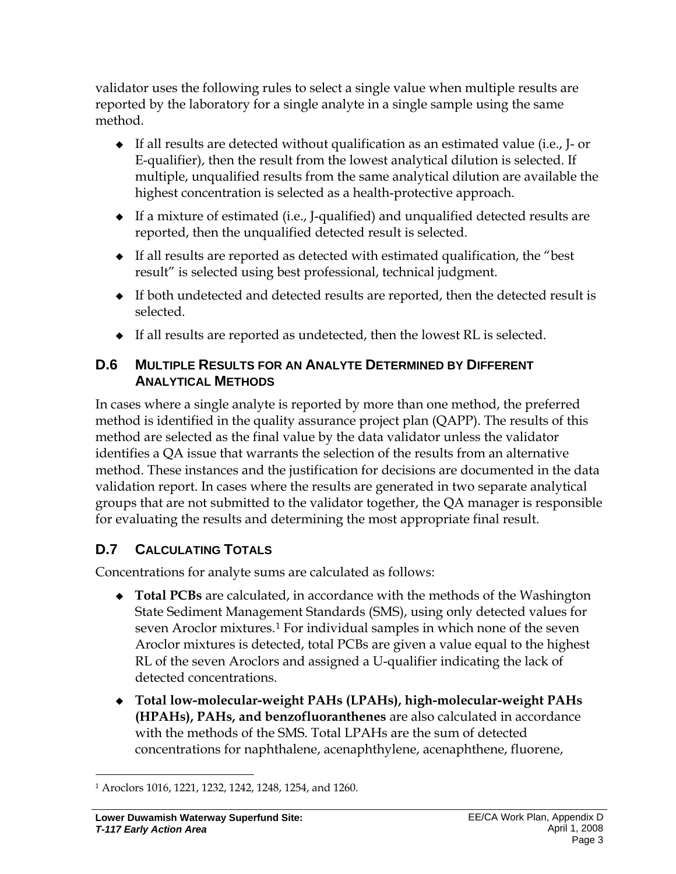validator uses the following rules to select a single value when multiple results are reported by the laboratory for a single analyte in a single sample using the same method.

- $\bullet$  If all results are detected without qualification as an estimated value (i.e., J- or E-qualifier), then the result from the lowest analytical dilution is selected. If multiple, unqualified results from the same analytical dilution are available the highest concentration is selected as a health-protective approach.
- If a mixture of estimated (i.e., J-qualified) and unqualified detected results are reported, then the unqualified detected result is selected.
- $\bullet$  If all results are reported as detected with estimated qualification, the "best" result" is selected using best professional, technical judgment.
- If both undetected and detected results are reported, then the detected result is selected.
- If all results are reported as undetected, then the lowest RL is selected.

#### **D.6 MULTIPLE RESULTS FOR AN ANALYTE DETERMINED BY DIFFERENT ANALYTICAL METHODS**

In cases where a single analyte is reported by more than one method, the preferred method is identified in the quality assurance project plan (QAPP). The results of this method are selected as the final value by the data validator unless the validator identifies a QA issue that warrants the selection of the results from an alternative method. These instances and the justification for decisions are documented in the data validation report. In cases where the results are generated in two separate analytical groups that are not submitted to the validator together, the QA manager is responsible for evaluating the results and determining the most appropriate final result.

# **D.7 CALCULATING TOTALS**

Concentrations for analyte sums are calculated as follows:

- **Total PCBs** are calculated, in accordance with the methods of the Washington State Sediment Management Standards (SMS), using only detected values for seven Aroclor mixtures.<sup>1</sup> For individual samples in which none of the seven Aroclor mixtures is detected, total PCBs are given a value equal to the highest RL of the seven Aroclors and assigned a U-qualifier indicating the lack of detected concentrations.
- **Total low-molecular-weight PAHs (LPAHs), high-molecular-weight PAHs (HPAHs), PAHs, and benzofluoranthenes** are also calculated in accordance with the methods of the SMS. Total LPAHs are the sum of detected concentrations for naphthalene, acenaphthylene, acenaphthene, fluorene,

 $\overline{a}$ 1 Aroclors 1016, 1221, 1232, 1242, 1248, 1254, and 1260.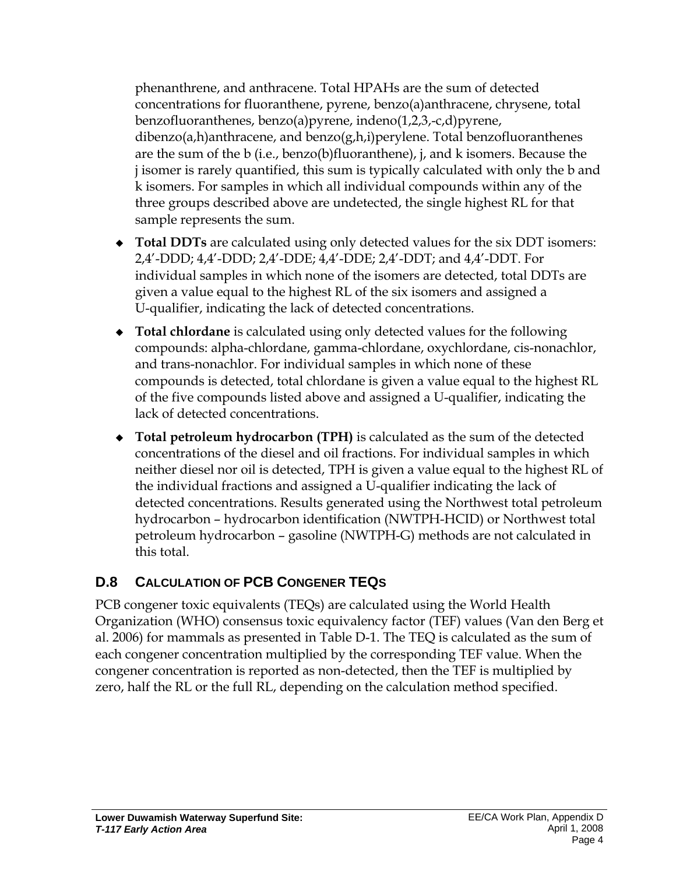phenanthrene, and anthracene. Total HPAHs are the sum of detected concentrations for fluoranthene, pyrene, benzo(a)anthracene, chrysene, total benzofluoranthenes, benzo(a)pyrene, indeno(1,2,3,-c,d)pyrene, dibenzo(a,h)anthracene, and benzo(g,h,i)perylene. Total benzofluoranthenes are the sum of the b (i.e., benzo(b)fluoranthene), j, and k isomers. Because the j isomer is rarely quantified, this sum is typically calculated with only the b and k isomers. For samples in which all individual compounds within any of the three groups described above are undetected, the single highest RL for that sample represents the sum.

- **Total DDTs** are calculated using only detected values for the six DDT isomers: 2,4'-DDD; 4,4'-DDD; 2,4'-DDE; 4,4'-DDE; 2,4'-DDT; and 4,4'-DDT. For individual samples in which none of the isomers are detected, total DDTs are given a value equal to the highest RL of the six isomers and assigned a U-qualifier, indicating the lack of detected concentrations.
- **Total chlordane** is calculated using only detected values for the following compounds: alpha-chlordane, gamma-chlordane, oxychlordane, cis-nonachlor, and trans-nonachlor. For individual samples in which none of these compounds is detected, total chlordane is given a value equal to the highest RL of the five compounds listed above and assigned a U-qualifier, indicating the lack of detected concentrations.
- **Total petroleum hydrocarbon (TPH)** is calculated as the sum of the detected concentrations of the diesel and oil fractions. For individual samples in which neither diesel nor oil is detected, TPH is given a value equal to the highest RL of the individual fractions and assigned a U-qualifier indicating the lack of detected concentrations. Results generated using the Northwest total petroleum hydrocarbon – hydrocarbon identification (NWTPH-HCID) or Northwest total petroleum hydrocarbon – gasoline (NWTPH-G) methods are not calculated in this total.

# **D.8 CALCULATION OF PCB CONGENER TEQS**

PCB congener toxic equivalents (TEQs) are calculated using the World Health Organization (WHO) consensus toxic equivalency factor (TEF) values (Van den Berg et al. 2006) for mammals as presented in Table D-1. The TEQ is calculated as the sum of each congener concentration multiplied by the corresponding TEF value. When the congener concentration is reported as non-detected, then the TEF is multiplied by zero, half the RL or the full RL, depending on the calculation method specified.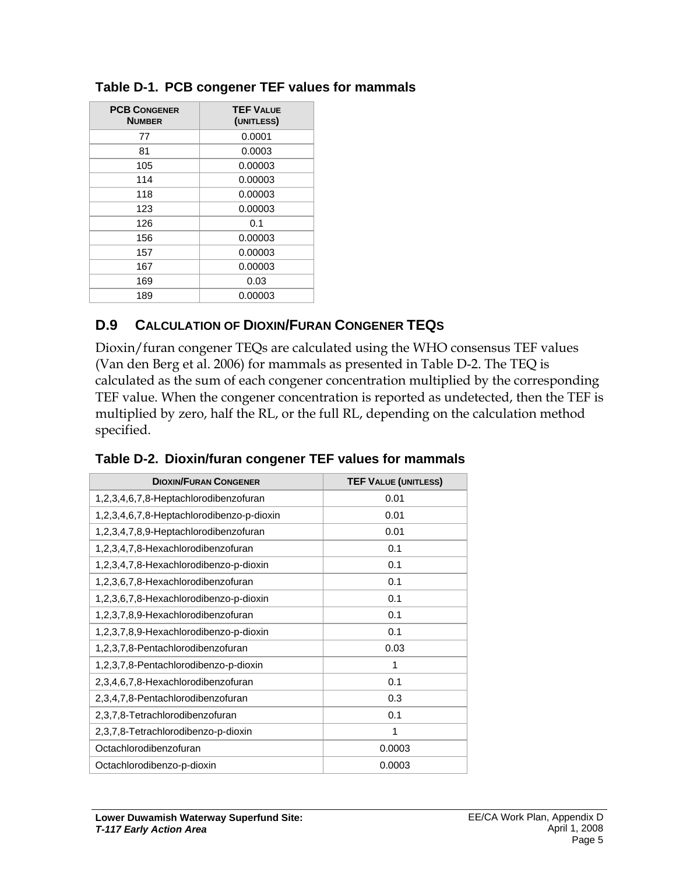| <b>PCB CONGENER</b><br><b>NUMBER</b> | <b>TEF VALUE</b><br>(UNITLESS) |  |
|--------------------------------------|--------------------------------|--|
| 77                                   | 0.0001                         |  |
| 81                                   | 0.0003                         |  |
| 105                                  | 0.00003                        |  |
| 114                                  | 0.00003                        |  |
| 118                                  | 0.00003                        |  |
| 123                                  | 0.00003                        |  |
| 126                                  | 0.1                            |  |
| 156                                  | 0.00003                        |  |
| 157                                  | 0.00003                        |  |
| 167                                  | 0.00003                        |  |
| 169                                  | 0.03                           |  |
| 189                                  | 0.00003                        |  |

#### **Table D-1. PCB congener TEF values for mammals**

#### **D.9 CALCULATION OF DIOXIN/FURAN CONGENER TEQS**

Dioxin/furan congener TEQs are calculated using the WHO consensus TEF values (Van den Berg et al. 2006) for mammals as presented in Table D-2. The TEQ is calculated as the sum of each congener concentration multiplied by the corresponding TEF value. When the congener concentration is reported as undetected, then the TEF is multiplied by zero, half the RL, or the full RL, depending on the calculation method specified.

| <b>DIOXIN/FURAN CONGENER</b>              | <b>TEF VALUE (UNITLESS)</b> |  |
|-------------------------------------------|-----------------------------|--|
| 1,2,3,4,6,7,8-Heptachlorodibenzofuran     | 0.01                        |  |
| 1,2,3,4,6,7,8-Heptachlorodibenzo-p-dioxin | 0.01                        |  |
| 1,2,3,4,7,8,9-Heptachlorodibenzofuran     | 0.01                        |  |
| 1,2,3,4,7,8-Hexachlorodibenzofuran        | 0.1                         |  |
| 1,2,3,4,7,8-Hexachlorodibenzo-p-dioxin    | 0.1                         |  |
| 1,2,3,6,7,8-Hexachlorodibenzofuran        | 0.1                         |  |
| 1,2,3,6,7,8-Hexachlorodibenzo-p-dioxin    | 0.1                         |  |
| 1,2,3,7,8,9-Hexachlorodibenzofuran        | 0.1                         |  |
| 1,2,3,7,8,9-Hexachlorodibenzo-p-dioxin    | 0.1                         |  |
| 1,2,3,7,8-Pentachlorodibenzofuran         | 0.03                        |  |
| 1,2,3,7,8-Pentachlorodibenzo-p-dioxin     | 1                           |  |
| 2,3,4,6,7,8-Hexachlorodibenzofuran        | 0.1                         |  |
| 2,3,4,7,8-Pentachlorodibenzofuran         | 0.3                         |  |
| 2,3,7,8-Tetrachlorodibenzofuran           | 0.1                         |  |
| 2,3,7,8-Tetrachlorodibenzo-p-dioxin       | 1                           |  |
| Octachlorodibenzofuran                    | 0.0003                      |  |
| Octachlorodibenzo-p-dioxin                | 0.0003                      |  |

|  |  | Table D-2. Dioxin/furan congener TEF values for mammals |
|--|--|---------------------------------------------------------|
|  |  |                                                         |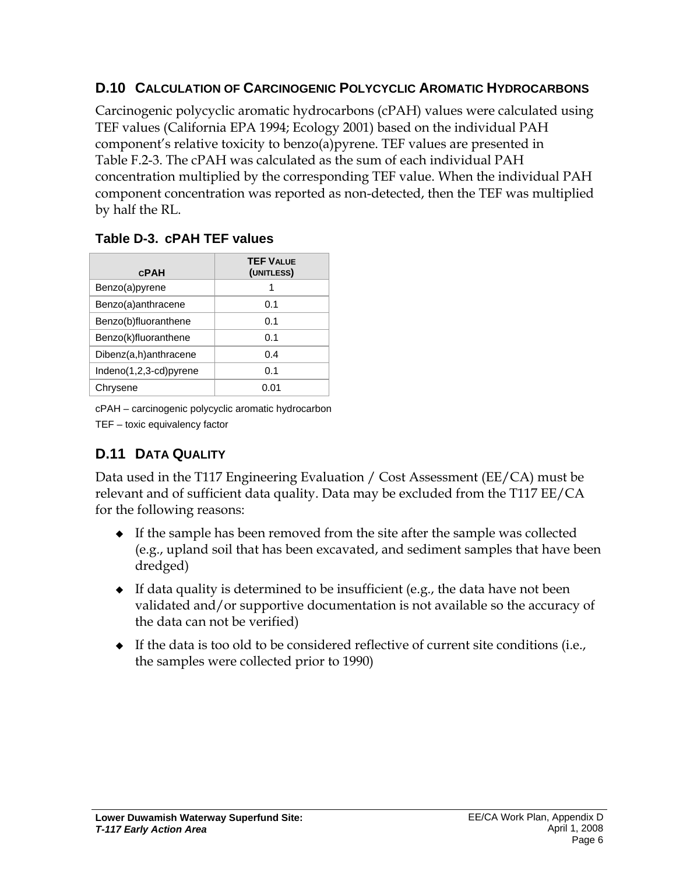#### **D.10 CALCULATION OF CARCINOGENIC POLYCYCLIC AROMATIC HYDROCARBONS**

Carcinogenic polycyclic aromatic hydrocarbons (cPAH) values were calculated using TEF values (California EPA 1994; Ecology 2001) based on the individual PAH component's relative toxicity to benzo(a)pyrene. TEF values are presented in Table F.2-3. The cPAH was calculated as the sum of each individual PAH concentration multiplied by the corresponding TEF value. When the individual PAH component concentration was reported as non-detected, then the TEF was multiplied by half the RL.

#### **Table D-3. cPAH TEF values**

| <b>CPAH</b>            | <b>TEF VALUE</b><br>(UNITLESS) |
|------------------------|--------------------------------|
| Benzo(a)pyrene         | 1                              |
| Benzo(a)anthracene     | 0.1                            |
| Benzo(b)fluoranthene   | 0.1                            |
| Benzo(k)fluoranthene   | 0.1                            |
| Dibenz(a,h)anthracene  | 0.4                            |
| Indeno(1,2,3-cd)pyrene | 0.1                            |
| Chrysene               | N N 1                          |

cPAH – carcinogenic polycyclic aromatic hydrocarbon

TEF – toxic equivalency factor

# **D.11 DATA QUALITY**

Data used in the T117 Engineering Evaluation / Cost Assessment (EE/CA) must be relevant and of sufficient data quality. Data may be excluded from the T117 EE/CA for the following reasons:

- If the sample has been removed from the site after the sample was collected (e.g., upland soil that has been excavated, and sediment samples that have been dredged)
- $\bullet$  If data quality is determined to be insufficient (e.g., the data have not been validated and/or supportive documentation is not available so the accuracy of the data can not be verified)
- $\bullet$  If the data is too old to be considered reflective of current site conditions (i.e., the samples were collected prior to 1990)